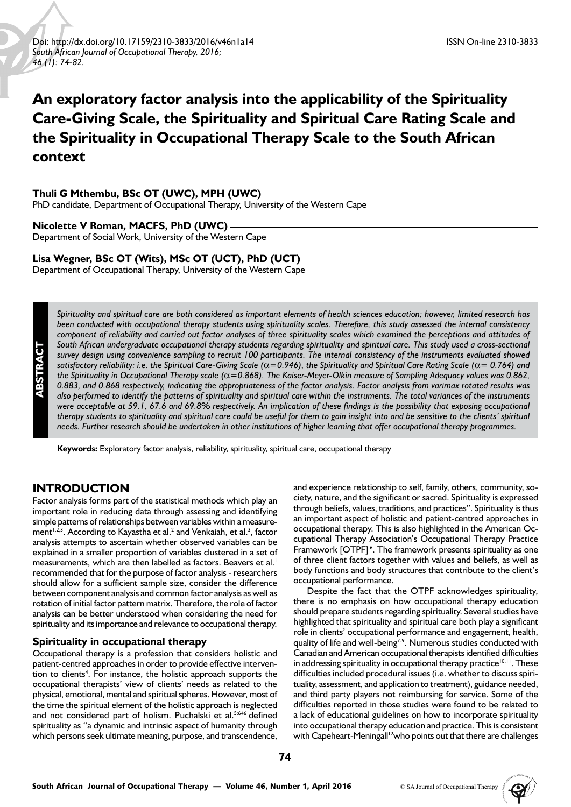# **An exploratory factor analysis into the applicability of the Spirituality Care-Giving Scale, the Spirituality and Spiritual Care Rating Scale and the Spirituality in Occupational Therapy Scale to the South African context**

#### **Thuli G Mthembu, BSc OT (UWC), MPH (UWC)**

PhD candidate, Department of Occupational Therapy, University of the Western Cape

### **Nicolette V Roman, MACFS, PhD (UWC)**

Department of Social Work, University of the Western Cape

### **Lisa Wegner, BSc OT (Wits), MSc OT (UCT), PhD (UCT)**

Department of Occupational Therapy, University of the Western Cape

*Spirituality and spiritual care are both considered as important elements of health sciences education; however, limited research has been conducted with occupational therapy students using spirituality scales. Therefore, this study assessed the internal consistency component of reliability and carried out factor analyses of three spirituality scales which examined the perceptions and attitudes of South African undergraduate occupational therapy students regarding spirituality and spiritual care. This study used a cross-sectional survey design using convenience sampling to recruit 100 participants. The internal consistency of the instruments evaluated showed satisfactory reliability: i.e. the Spiritual Care-Giving Scale (*α*=0.946), the Spirituality and Spiritual Care Rating Scale (*α*= 0.764) and the Spirituality in Occupational Therapy scale (*α*=0.868). The Kaiser-Meyer-Olkin measure of Sampling Adequacy values was 0.862, 0.883, and 0.868 respectively, indicating the appropriateness of the factor analysis. Factor analysis from varimax rotated results was also performed to identify the patterns of spirituality and spiritual care within the instruments. The total variances of the instruments were acceptable at 59.1, 67.6 and 69.8% respectively. An implication of these findings is the possibility that exposing occupational therapy students to spirituality and spiritual care could be useful for them to gain insight into and be sensitive to the clients' spiritual needs. Further research should be undertaken in other institutions of higher learning that offer occupational therapy programmes.* 

**Keywords:** Exploratory factor analysis, reliability, spirituality, spiritual care, occupational therapy

# **INTRODUCTION**

Factor analysis forms part of the statistical methods which play an important role in reducing data through assessing and identifying simple patterns of relationships between variables within a measurement<sup>1,2,3</sup>. According to Kayastha et al.<sup>2</sup> and Venkaiah, et al.<sup>3</sup>, factor analysis attempts to ascertain whether observed variables can be explained in a smaller proportion of variables clustered in a set of measurements, which are then labelled as factors. Beavers et al.<sup>1</sup> recommended that for the purpose of factor analysis - researchers should allow for a sufficient sample size, consider the difference between component analysis and common factor analysis as well as rotation of initial factor pattern matrix. Therefore, the role of factor analysis can be better understood when considering the need for spirituality and its importance and relevance to occupational therapy.

#### **Spirituality in occupational therapy**

Occupational therapy is a profession that considers holistic and patient-centred approaches in order to provide effective intervention to clients<sup>4</sup>. For instance, the holistic approach supports the occupational therapists' view of clients' needs as related to the physical, emotional, mental and spiritual spheres. However, most of the time the spiritual element of the holistic approach is neglected and not considered part of holism. Puchalski et al.<sup>5:646</sup> defined spirituality as "a dynamic and intrinsic aspect of humanity through which persons seek ultimate meaning, purpose, and transcendence,

and experience relationship to self, family, others, community, society, nature, and the significant or sacred. Spirituality is expressed through beliefs, values, traditions, and practices". Spirituality is thus an important aspect of holistic and patient-centred approaches in occupational therapy. This is also highlighted in the American Occupational Therapy Association's Occupational Therapy Practice Framework [OTPF]<sup>6</sup>. The framework presents spirituality as one of three client factors together with values and beliefs, as well as body functions and body structures that contribute to the client's occupational performance.

Despite the fact that the OTPF acknowledges spirituality, there is no emphasis on how occupational therapy education should prepare students regarding spirituality. Several studies have highlighted that spirituality and spiritual care both play a significant role in clients' occupational performance and engagement, health, quality of life and well-being<sup>7-9</sup>. Numerous studies conducted with Canadian and American occupational therapists identified difficulties in addressing spirituality in occupational therapy practice $10,11$ . These difficulties included procedural issues (i.e. whether to discuss spirituality, assessment, and application to treatment), guidance needed, and third party players not reimbursing for service. Some of the difficulties reported in those studies were found to be related to a lack of educational guidelines on how to incorporate spirituality into occupational therapy education and practice. This is consistent with Capeheart-Meningall<sup>12</sup>who points out that there are challenges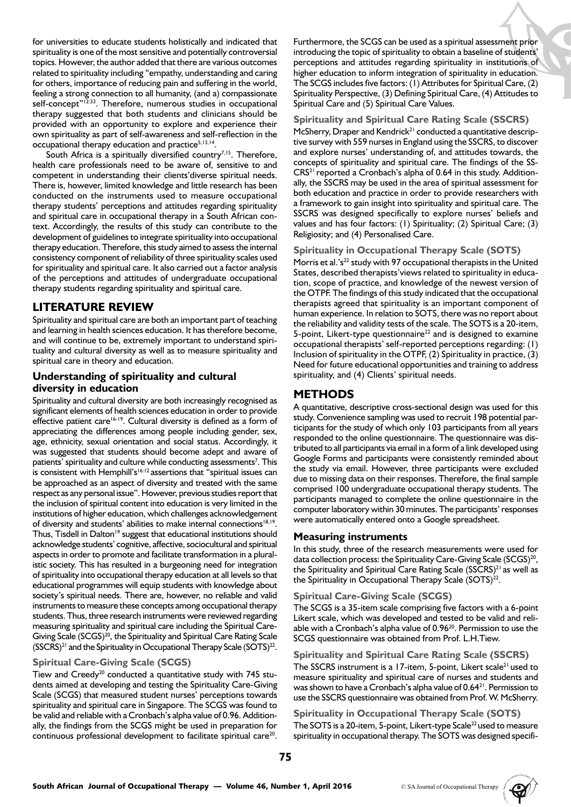for universities to educate students holistically and indicated that spirituality is one of the most sensitive and potentially controversial topics. However, the author added that there are various outcomes related to spirituality including "empathy, understanding and caring for others, importance of reducing pain and suffering in the world, feeling a strong connection to all humanity, (and a) compassionate self-concept"<sup>12:33</sup>. Therefore, numerous studies in occupational therapy suggested that both students and clinicians should be provided with an opportunity to explore and experience their own spirituality as part of self-awareness and self-reflection in the occupational therapy education and practice<sup>5,13,14</sup>.

South Africa is a spiritually diversified country<sup>7,15</sup>. Therefore, health care professionals need to be aware of, sensitive to and competent in understanding their clients'diverse spiritual needs. There is, however, limited knowledge and little research has been conducted on the instruments used to measure occupational therapy students' perceptions and attitudes regarding spirituality and spiritual care in occupational therapy in a South African context. Accordingly, the results of this study can contribute to the development of guidelines to integrate spirituality into occupational therapy education. Therefore, this study aimed to assess the internal consistency component of reliability of three spirituality scales used for spirituality and spiritual care. It also carried out a factor analysis of the perceptions and attitudes of undergraduate occupational therapy students regarding spirituality and spiritual care.

# **LITERATURE REVIEW**

Spirituality and spiritual care are both an important part of teaching and learning in health sciences education. It has therefore become, and will continue to be, extremely important to understand spirituality and cultural diversity as well as to measure spirituality and spiritual care in theory and education.

## **Understanding of spirituality and cultural diversity in education**

Spirituality and cultural diversity are both increasingly recognised as significant elements of health sciences education in order to provide effective patient care<sup>16-19</sup>. Cultural diversity is defined as a form of appreciating the differences among people including gender, sex, age, ethnicity, sexual orientation and social status. Accordingly, it was suggested that students should become adept and aware of patients' spirituality and culture while conducting assessments<sup>7</sup>. This is consistent with Hemphill's<sup>16:12</sup> assertions that "spiritual issues can be approached as an aspect of diversity and treated with the same respect as any personal issue". However, previous studies report that the inclusion of spiritual content into education is very limited in the institutions of higher education, which challenges acknowledgement of diversity and students' abilities to make internal connections<sup>18,19</sup>. Thus, Tisdell in Dalton<sup>19</sup> suggest that educational institutions should acknowledge students' cognitive, affective, sociocultural and spiritual aspects in order to promote and facilitate transformation in a pluralistic society. This has resulted in a burgeoning need for integration of spirituality into occupational therapy education at all levels so that educational programmes will equip students with knowledge about society's spiritual needs. There are, however, no reliable and valid instruments to measure these concepts among occupational therapy students. Thus, three research instruments were reviewed regarding measuring spirituality and spiritual care including the Spiritual Care-Giving Scale (SCGS)<sup>20</sup>, the Spirituality and Spiritual Care Rating Scale  $(SSCRS)^{21}$  and the Spirituality in Occupational Therapy Scale  $(SOTS)^{22}$ .

### **Spiritual Care-Giving Scale (SCGS)**

Tiew and Creedy<sup>20</sup> conducted a quantitative study with 745 students aimed at developing and testing the Spirituality Care-Giving Scale (SCGS) that measured student nurses' perceptions towards spirituality and spiritual care in Singapore. The SCGS was found to be valid and reliable with a Cronbach's alpha value of 0.96. Additionally, the findings from the SCGS might be used in preparation for continuous professional development to facilitate spiritual care<sup>20</sup>.

Furthermore, the SCGS can be used as a spiritual assessment prior introducing the topic of spirituality to obtain a baseline of students' perceptions and attitudes regarding spirituality in institutions of higher education to inform integration of spirituality in education. The SCGS includes five factors: (1) Attributes for Spiritual Care, (2) Spirituality Perspective, (3) Defining Spiritual Care, (4) Attitudes to Spiritual Care and (5) Spiritual Care Values.

### **Spirituality and Spiritual Care Rating Scale (SSCRS)**

McSherry, Draper and Kendrick<sup>21</sup> conducted a quantitative descriptive survey with 559 nurses in England using the SSCRS, to discover and explore nurses' understanding of, and attitudes towards, the concepts of spirituality and spiritual care. The findings of the SS-CRS21 reported a Cronbach's alpha of 0.64 in this study. Additionally, the SSCRS may be used in the area of spiritual assessment for both education and practice in order to provide researchers with a framework to gain insight into spirituality and spiritual care. The SSCRS was designed specifically to explore nurses' beliefs and values and has four factors: (1) Spirituality; (2) Spiritual Care; (3) Religiosity; and (4) Personalised Care.

### **Spirituality in Occupational Therapy Scale (SOTS)**

Morris et al.'s<sup>22</sup> study with 97 occupational therapists in the United States, described therapists'views related to spirituality in education, scope of practice, and knowledge of the newest version of the OTPF. The findings of this study indicated that the occupational therapists agreed that spirituality is an important component of human experience. In relation to SOTS, there was no report about the reliability and validity tests of the scale. The SOTS is a 20-item, 5-point, Likert-type questionnaire $^{22}$  and is designed to examine occupational therapists' self-reported perceptions regarding: (1) Inclusion of spirituality in the OTPF, (2) Spirituality in practice, (3) Need for future educational opportunities and training to address spirituality, and (4) Clients' spiritual needs.

# **METHODS**

A quantitative, descriptive cross-sectional design was used for this study. Convenience sampling was used to recruit 198 potential participants for the study of which only 103 participants from all years responded to the online questionnaire. The questionnaire was distributed to all participants via email in a form of a link developed using Google Forms and participants were consistently reminded about the study via email. However, three participants were excluded due to missing data on their responses. Therefore, the final sample comprised 100 undergraduate occupational therapy students. The participants managed to complete the online questionnaire in the computer laboratory within 30 minutes. The participants' responses were automatically entered onto a Google spreadsheet.

### **Measuring instruments**

In this study, three of the research measurements were used for data collection process: the Spirituality Care-Giving Scale (SCGS)<sup>20</sup>, the Spirituality and Spiritual Care Rating Scale (SSCRS)<sup>21</sup> as well as the Spirituality in Occupational Therapy Scale (SOTS)<sup>22</sup>.

### **Spiritual Care-Giving Scale (SCGS)**

The SCGS is a 35-item scale comprising five factors with a 6-point Likert scale, which was developed and tested to be valid and reliable with a Cronbach's alpha value of 0.96<sup>20</sup>. Permission to use the SCGS questionnaire was obtained from Prof. L.H.Tiew.

### **Spirituality and Spiritual Care Rating Scale (SSCRS)**

The SSCRS instrument is a 17-item, 5-point, Likert scale<sup>21</sup> used to measure spirituality and spiritual care of nurses and students and was shown to have a Cronbach's alpha value of 0.64<sup>21</sup>. Permission to use the SSCRS questionnaire was obtained from Prof. W. McSherry.

# **Spirituality in Occupational Therapy Scale (SOTS)**

The SOTS is a 20-item, 5-point, Likert-type Scale<sup>22</sup> used to measure spirituality in occupational therapy. The SOTS was designed specifi-

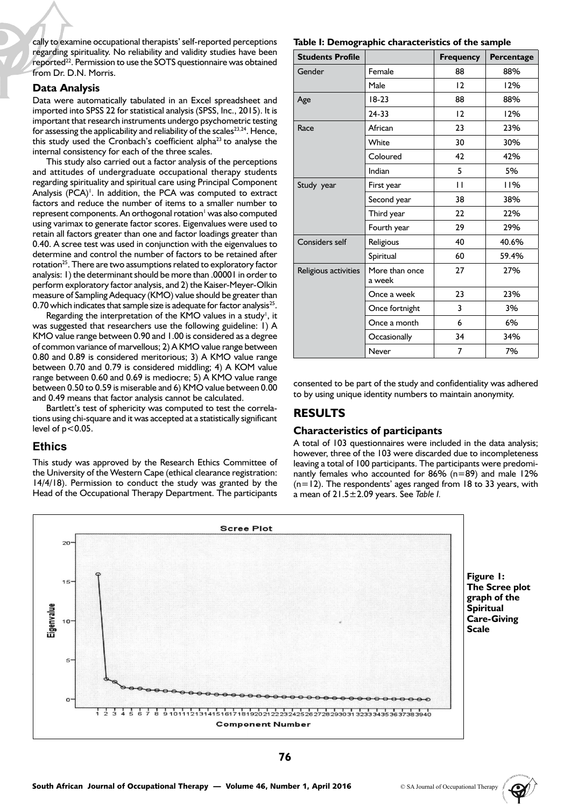cally to examine occupational therapists' self-reported perceptions regarding spirituality. No reliability and validity studies have been reported<sup>22</sup>. Permission to use the SOTS questionnaire was obtained from Dr. D.N. Morris.

#### **Data Analysis**

Data were automatically tabulated in an Excel spreadsheet and imported into SPSS 22 for statistical analysis (SPSS, Inc., 2015). It is important that research instruments undergo psychometric testing for assessing the applicability and reliability of the scales $^{23,24}$ . Hence, this study used the Cronbach's coefficient alpha<sup>23</sup> to analyse the internal consistency for each of the three scales.

This study also carried out a factor analysis of the perceptions and attitudes of undergraduate occupational therapy students regarding spirituality and spiritual care using Principal Component Analysis (PCA)<sup>1</sup>. In addition, the PCA was computed to extract factors and reduce the number of items to a smaller number to represent components. An orthogonal rotation<sup>1</sup> was also computed using varimax to generate factor scores. Eigenvalues were used to retain all factors greater than one and factor loadings greater than 0.40. A scree test was used in conjunction with the eigenvalues to determine and control the number of factors to be retained after rotation<sup>25</sup>. There are two assumptions related to exploratory factor analysis: 1) the determinant should be more than .00001 in order to perform exploratory factor analysis, and 2) the Kaiser-Meyer-Olkin measure of Sampling Adequacy (KMO) value should be greater than 0.70 which indicates that sample size is adequate for factor analysis<sup>25</sup>.

Regarding the interpretation of the KMO values in a study<sup>1</sup>, it was suggested that researchers use the following guideline: 1) A KMO value range between 0.90 and 1.00 is considered as a degree of common variance of marvellous; 2) A KMO value range between 0.80 and 0.89 is considered meritorious; 3) A KMO value range between 0.70 and 0.79 is considered middling; 4) A KOM value range between 0.60 and 0.69 is mediocre; 5) A KMO value range between 0.50 to 0.59 is miserable and 6) KMO value between 0.00 and 0.49 means that factor analysis cannot be calculated.

Bartlett's test of sphericity was computed to test the correlations using chi-square and it was accepted at a statistically significant level of  $p < 0.05$ .

### **Ethics**

This study was approved by the Research Ethics Committee of the University of the Western Cape (ethical clearance registration: 14/4/18). Permission to conduct the study was granted by the Head of the Occupational Therapy Department. The participants

|  |  |  |  | Table I: Demographic characteristics of the sample |  |  |  |  |
|--|--|--|--|----------------------------------------------------|--|--|--|--|
|--|--|--|--|----------------------------------------------------|--|--|--|--|

| <b>Students Profile</b> |                          | <b>Frequency</b> | Percentage |
|-------------------------|--------------------------|------------------|------------|
| Gender                  | Female                   | 88               | 88%        |
|                         | Male                     | $\overline{2}$   | 12%        |
| Age                     | $18-23$                  | 88               | 88%        |
|                         | $24 - 33$                | 12               | 12%        |
| Race                    | African                  | 23               | 23%        |
|                         | White                    | 30               | 30%        |
|                         | Coloured                 | 42               | 42%        |
|                         | Indian                   | 5                | 5%         |
| Study year              | First year               | П                | 11%        |
|                         | Second year              | 38               | 38%        |
|                         | Third year               | 22               | 22%        |
|                         | Fourth year              | 29               | 29%        |
| Considers self          | Religious                | 40               | 40.6%      |
|                         | Spiritual                | 60               | 59.4%      |
| Religious activities    | More than once<br>a week | 27               | 27%        |
|                         | Once a week              | 23               | 23%        |
|                         | Once fortnight           | 3                | 3%         |
|                         | Once a month             | 6                | 6%         |
|                         | Occasionally             | 34               | 34%        |
|                         | Never                    | 7                | 7%         |

consented to be part of the study and confidentiality was adhered to by using unique identity numbers to maintain anonymity.

# **RESULTS**

### **Characteristics of participants**

A total of 103 questionnaires were included in the data analysis; however, three of the 103 were discarded due to incompleteness leaving a total of 100 participants. The participants were predominantly females who accounted for 86% (n=89) and male 12%  $(n=12)$ . The respondents' ages ranged from 18 to 33 years, with a mean of 21.5±2.09 years. See *Table I.*



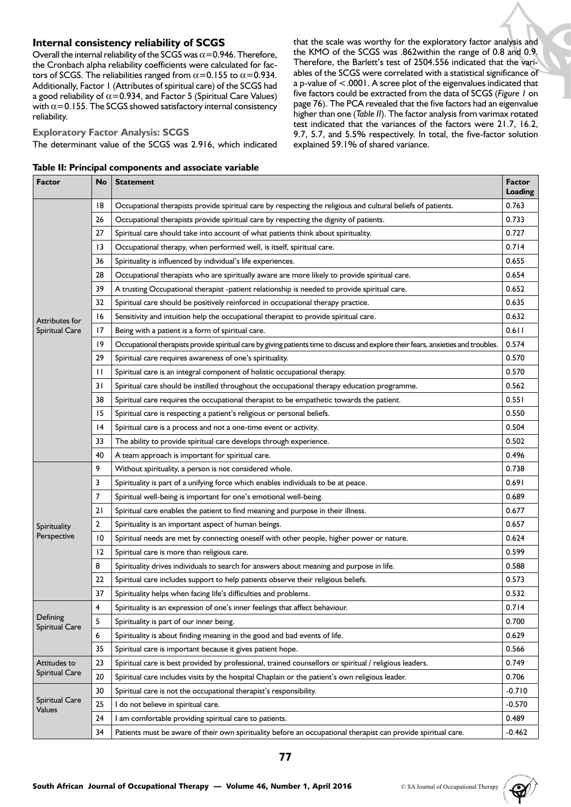### **Internal consistency reliability of SCGS**

Overall the internal reliability of the SCGS was  $\alpha$  = 0.946. Therefore, the Cronbach alpha reliability coefficients were calculated for factors of SCGS. The reliabilities ranged from  $\alpha$ =0.155 to  $\alpha$ =0.934. Additionally, Factor 1 (Attributes of spiritual care) of the SCGS had a good reliability of  $\alpha$ =0.934, and Factor 5 (Spiritual Care Values) with  $\alpha$  = 0.155. The SCGS showed satisfactory internal consistency reliability.

# **Exploratory Factor Analysis: SCGS**

The determinant value of the SCGS was 2.916, which indicated

|  |  | Table II: Principal components and associate variable |  |  |
|--|--|-------------------------------------------------------|--|--|
|--|--|-------------------------------------------------------|--|--|

that the scale was worthy for the exploratory factor analysis and the KMO of the SCGS was .862within the range of 0.8 and 0.9. Therefore, the Barlett's test of 2504.556 indicated that the variables of the SCGS were correlated with a statistical significance of a p-value of <.0001. A scree plot of the eigenvalues indicated that five factors could be extracted from the data of SCGS (*Figure 1* on page 76). The PCA revealed that the five factors had an eigenvalue higher than one (*Table II*). The factor analysis from varimax rotated test indicated that the variances of the factors were 21.7, 16.2, 9.7, 5.7, and 5.5% respectively. In total, the five-factor solution explained 59.1% of shared variance.

| Factor                            | No           | <b>Statement</b>                                                                                                                   | <b>Factor</b><br><b>Loading</b> |
|-----------------------------------|--------------|------------------------------------------------------------------------------------------------------------------------------------|---------------------------------|
|                                   | 18           | Occupational therapists provide spiritual care by respecting the religious and cultural beliefs of patients.                       | 0.763                           |
|                                   | 26           | Occupational therapists provide spiritual care by respecting the dignity of patients.                                              | 0.733                           |
|                                   | 27           | Spiritual care should take into account of what patients think about spirituality.                                                 | 0.727                           |
|                                   | 13           | Occupational therapy, when performed well, is itself, spiritual care.                                                              | 0.714                           |
|                                   | 36           | Spirituality is influenced by individual's life experiences.                                                                       | 0.655                           |
|                                   | 28           | Occupational therapists who are spiritually aware are more likely to provide spiritual care.                                       | 0.654                           |
|                                   | 39           | A trusting Occupational therapist -patient relationship is needed to provide spiritual care.                                       | 0.652                           |
|                                   | 32           | Spiritual care should be positively reinforced in occupational therapy practice.                                                   | 0.635                           |
| Attributes for                    | 16           | Sensitivity and intuition help the occupational therapist to provide spiritual care.                                               | 0.632                           |
| <b>Spiritual Care</b>             | 17           | Being with a patient is a form of spiritual care.                                                                                  | 0.611                           |
|                                   | 19           | Occupational therapists provide spiritual care by giving patients time to discuss and explore their fears, anxieties and troubles. | 0.574                           |
|                                   | 29           | Spiritual care requires awareness of one's spirituality.                                                                           | 0.570                           |
|                                   | $\mathbf{H}$ | Spiritual care is an integral component of holistic occupational therapy.                                                          | 0.570                           |
|                                   | 31           | Spiritual care should be instilled throughout the occupational therapy education programme.                                        | 0.562                           |
|                                   | 38           | Spiritual care requires the occupational therapist to be empathetic towards the patient.                                           | 0.551                           |
|                                   | 15           | Spiritual care is respecting a patient's religious or personal beliefs.                                                            | 0.550                           |
|                                   | 14           | Spiritual care is a process and not a one-time event or activity.                                                                  | 0.504                           |
|                                   | 33           | The ability to provide spiritual care develops through experience.                                                                 | 0.502                           |
|                                   | 40           | A team approach is important for spiritual care.                                                                                   | 0.496                           |
|                                   | 9            | Without spirituality, a person is not considered whole.                                                                            | 0.738                           |
|                                   | 3            | Spirituality is part of a unifying force which enables individuals to be at peace.                                                 | 0.691                           |
|                                   | 7            | Spiritual well-being is important for one's emotional well-being.                                                                  | 0.689                           |
|                                   | 21           | Spiritual care enables the patient to find meaning and purpose in their illness.                                                   | 0.677                           |
| Spirituality                      | 2            | Spirituality is an important aspect of human beings.                                                                               | 0.657                           |
| Perspective                       | 10           | Spiritual needs are met by connecting oneself with other people, higher power or nature.                                           | 0.624                           |
|                                   | 12           | Spiritual care is more than religious care.                                                                                        | 0.599                           |
|                                   | 8            | Spirituality drives individuals to search for answers about meaning and purpose in life.                                           | 0.588                           |
|                                   | 22           | Spiritual care includes support to help patients observe their religious beliefs.                                                  | 0.573                           |
|                                   | 37           | Spirituality helps when facing life's difficulties and problems.                                                                   | 0.532                           |
|                                   | 4            | Spirituality is an expression of one's inner feelings that affect behaviour.                                                       | 0.714                           |
| Defining<br><b>Spiritual Care</b> | 5            | Spirituality is part of our inner being.                                                                                           | 0.700                           |
|                                   | 6            | Spirituality is about finding meaning in the good and bad events of life.                                                          | 0.629                           |
|                                   | 35           | Spiritual care is important because it gives patient hope.                                                                         | 0.566                           |
| Attitudes to                      | 23           | Spiritual care is best provided by professional, trained counsellors or spiritual / religious leaders.                             | 0.749                           |
| <b>Spiritual Care</b>             | 20           | Spiritual care includes visits by the hospital Chaplain or the patient's own religious leader.                                     | 0.706                           |
|                                   | 30           | Spiritual care is not the occupational therapist's responsibility.                                                                 | $-0.710$                        |
| <b>Spiritual Care</b><br>Values   | 25           | I do not believe in spiritual care.                                                                                                | $-0.570$                        |
|                                   | 24           | I am comfortable providing spiritual care to patients.                                                                             | 0.489                           |
|                                   | 34           | Patients must be aware of their own spirituality before an occupational therapist can provide spiritual care.                      | $-0.462$                        |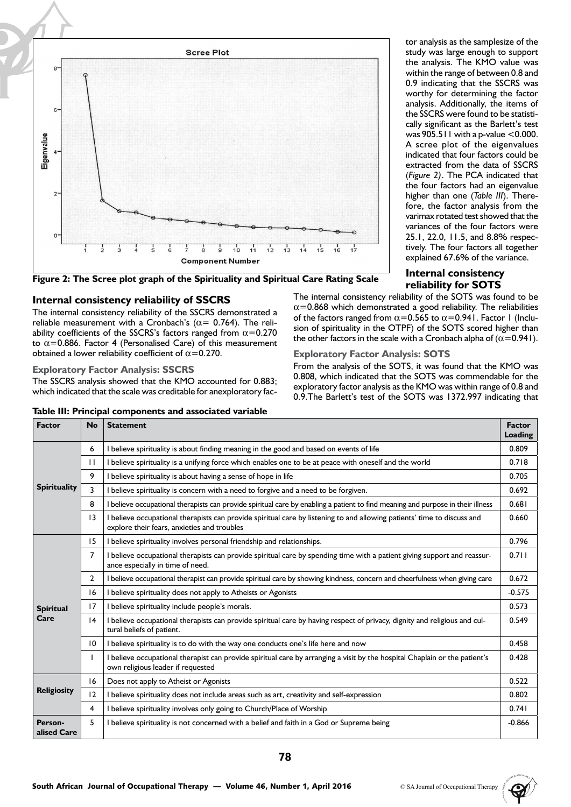



### **Internal consistency reliability of SSCRS**

The internal consistency reliability of the SSCRS demonstrated a reliable measurement with a Cronbach's ( $\alpha$  = 0.764). The reliability coefficients of the SSCRS's factors ranged from  $\alpha$ =0.270 to  $\alpha$ =0.886. Factor 4 (Personalised Care) of this measurement obtained a lower reliability coefficient of  $\alpha$  = 0.270.

### **Exploratory Factor Analysis: SSCRS**

The SSCRS analysis showed that the KMO accounted for 0.883; which indicated that the scale was creditable for anexploratory fac-

**Exploratory Factor Analysis: SOTS**

From the analysis of the SOTS, it was found that the KMO was 0.808, which indicated that the SOTS was commendable for the exploratory factor analysis as the KMO was within range of 0.8 and 0.9.The Barlett's test of the SOTS was 1372.997 indicating that

The internal consistency reliability of the SOTS was found to be  $\alpha$ =0.868 which demonstrated a good reliability. The reliabilities of the factors ranged from  $\alpha$ =0.565 to  $\alpha$ =0.941. Factor 1 (Inclu-

| <b>Factor</b>          | <b>No</b>      | <b>Statement</b>                                                                                                                                                     | <b>Factor</b><br><b>Loading</b> |
|------------------------|----------------|----------------------------------------------------------------------------------------------------------------------------------------------------------------------|---------------------------------|
|                        | 6              | believe spirituality is about finding meaning in the good and based on events of life                                                                                | 0.809                           |
|                        | $\mathbf{H}$   | I believe spirituality is a unifying force which enables one to be at peace with oneself and the world                                                               | 0.718                           |
|                        | 9              | believe spirituality is about having a sense of hope in life                                                                                                         | 0.705                           |
| <b>Spirituality</b>    | 3              | I believe spirituality is concern with a need to forgive and a need to be forgiven.                                                                                  | 0.692                           |
|                        | 8              | I believe occupational therapists can provide spiritual care by enabling a patient to find meaning and purpose in their illness                                      | 0.681                           |
|                        | 13             | believe occupational therapists can provide spiritual care by listening to and allowing patients' time to discuss and<br>explore their fears, anxieties and troubles | 0.660                           |
|                        | 15             | I believe spirituality involves personal friendship and relationships.                                                                                               | 0.796                           |
|                        | $\overline{7}$ | I believe occupational therapists can provide spiritual care by spending time with a patient giving support and reassur-<br>ance especially in time of need.         | 0.711                           |
|                        | $\overline{2}$ | I believe occupational therapist can provide spiritual care by showing kindness, concern and cheerfulness when giving care                                           | 0.672                           |
|                        | 16             | believe spirituality does not apply to Atheists or Agonists                                                                                                          | $-0.575$                        |
| <b>Spiritual</b>       | 17             | believe spirituality include people's morals.                                                                                                                        | 0.573                           |
| Care                   | 4              | believe occupational therapists can provide spiritual care by having respect of privacy, dignity and religious and cul-<br>tural beliefs of patient.                 | 0.549                           |
|                        | 10             | I believe spirituality is to do with the way one conducts one's life here and now                                                                                    | 0.458                           |
|                        |                | believe occupational therapist can provide spiritual care by arranging a visit by the hospital Chaplain or the patient's<br>own religious leader if requested        | 0.428                           |
| <b>Religiosity</b>     | 16             | Does not apply to Atheist or Agonists                                                                                                                                | 0.522                           |
|                        | 12             | believe spirituality does not include areas such as art, creativity and self-expression                                                                              | 0.802                           |
|                        | 4              | believe spirituality involves only going to Church/Place of Worship                                                                                                  | 0.741                           |
| Person-<br>alised Care | 5              | believe spirituality is not concerned with a belief and faith in a God or Supreme being                                                                              | $-0.866$                        |

sion of spirituality in the OTPF) of the SOTS scored higher than the other factors in the scale with a Cronbach alpha of  $(\alpha = 0.941)$ .

**Table III: Principal components and associated variable**



tor analysis as the samplesize of the study was large enough to support the analysis. The KMO value was within the range of between 0.8 and 0.9 indicating that the SSCRS was worthy for determining the factor analysis. Additionally, the items of the SSCRS were found to be statistically significant as the Barlett's test was  $905.511$  with a p-value  $< 0.000$ . A scree plot of the eigenvalues indicated that four factors could be extracted from the data of SSCRS (*Figure 2)*. The PCA indicated that the four factors had an eigenvalue higher than one (*Table III*). Therefore, the factor analysis from the varimax rotated test showed that the variances of the four factors were 25.1, 22.0, 11.5, and 8.8% respectively. The four factors all together explained 67.6% of the variance.

**Internal consistency reliability for SOTS**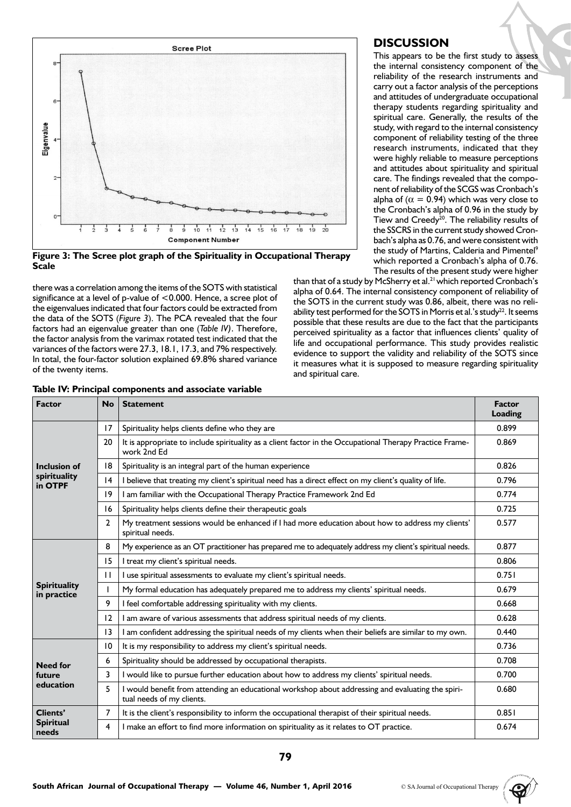

**Figure 3: The Scree plot graph of the Spirituality in Occupational Therapy Scale**

there was a correlation among the items of the SOTS with statistical significance at a level of p-value of <0.000. Hence, a scree plot of the eigenvalues indicated that four factors could be extracted from the data of the SOTS (*Figure 3*). The PCA revealed that the four factors had an eigenvalue greater than one (*Table IV)*. Therefore, the factor analysis from the varimax rotated test indicated that the variances of the factors were 27.3, 18.1, 17.3, and 7% respectively. In total, the four-factor solution explained 69.8% shared variance of the twenty items.

|  |  | Table IV: Principal components and associate variable |
|--|--|-------------------------------------------------------|
|--|--|-------------------------------------------------------|

### **DISCUSSION**

This appears to be the first study to assess the internal consistency component of the reliability of the research instruments and carry out a factor analysis of the perceptions and attitudes of undergraduate occupational therapy students regarding spirituality and spiritual care. Generally, the results of the study, with regard to the internal consistency component of reliability testing of the three research instruments, indicated that they were highly reliable to measure perceptions and attitudes about spirituality and spiritual care. The findings revealed that the component of reliability of the SCGS was Cronbach's alpha of ( $\alpha = 0.94$ ) which was very close to the Cronbach's alpha of 0.96 in the study by Tiew and Creedy<sup>20</sup>. The reliability results of the SSCRS in the current study showed Cronbach's alpha as 0.76, and were consistent with the study of Martins, Calderia and Pimentel<sup>9</sup> which reported a Cronbach's alpha of 0.76. The results of the present study were higher

than that of a study by McSherry et al.<sup>21</sup> which reported Cronbach's alpha of 0.64. The internal consistency component of reliability of the SOTS in the current study was 0.86, albeit, there was no reliability test performed for the SOTS in Morris et al.'s study<sup>22</sup>. It seems possible that these results are due to the fact that the participants perceived spirituality as a factor that influences clients' quality of life and occupational performance. This study provides realistic evidence to support the validity and reliability of the SOTS since it measures what it is supposed to measure regarding spirituality and spiritual care.

| <b>Factor</b>                      | <b>No</b>      | <b>Statement</b>                                                                                                               | <b>Factor</b><br>Loading |
|------------------------------------|----------------|--------------------------------------------------------------------------------------------------------------------------------|--------------------------|
|                                    | 17             | Spirituality helps clients define who they are                                                                                 | 0.899                    |
|                                    | 20             | It is appropriate to include spirituality as a client factor in the Occupational Therapy Practice Frame-<br>work 2nd Ed        | 0.869                    |
| <b>Inclusion of</b>                | 18             | Spirituality is an integral part of the human experience                                                                       | 0.826                    |
| spirituality<br>in OTPF            | 4              | I believe that treating my client's spiritual need has a direct effect on my client's quality of life.                         | 0.796                    |
|                                    | 19             | I am familiar with the Occupational Therapy Practice Framework 2nd Ed                                                          | 0.774                    |
|                                    | 16             | Spirituality helps clients define their therapeutic goals                                                                      | 0.725                    |
|                                    | $\overline{2}$ | My treatment sessions would be enhanced if I had more education about how to address my clients'<br>spiritual needs.           | 0.577                    |
|                                    | 8              | My experience as an OT practitioner has prepared me to adequately address my client's spiritual needs.                         | 0.877                    |
|                                    | 15             | I treat my client's spiritual needs.                                                                                           | 0.806                    |
|                                    | $\mathbf{H}$   | I use spiritual assessments to evaluate my client's spiritual needs.                                                           | 0.751                    |
| <b>Spirituality</b><br>in practice |                | My formal education has adequately prepared me to address my clients' spiritual needs.                                         | 0.679                    |
|                                    | 9              | I feel comfortable addressing spirituality with my clients.                                                                    | 0.668                    |
|                                    | 12             | I am aware of various assessments that address spiritual needs of my clients.                                                  | 0.628                    |
|                                    | 13             | I am confident addressing the spiritual needs of my clients when their beliefs are similar to my own.                          | 0.440                    |
|                                    | 10             | It is my responsibility to address my client's spiritual needs.                                                                | 0.736                    |
| <b>Need for</b>                    | 6              | Spirituality should be addressed by occupational therapists.                                                                   | 0.708                    |
| future                             | 3              | I would like to pursue further education about how to address my clients' spiritual needs.                                     | 0.700                    |
| education                          | 5              | I would benefit from attending an educational workshop about addressing and evaluating the spiri-<br>tual needs of my clients. | 0.680                    |
| <b>Clients'</b>                    | 7              | It is the client's responsibility to inform the occupational therapist of their spiritual needs.                               | 0.851                    |
| <b>Spiritual</b><br>needs          | 4              | I make an effort to find more information on spirituality as it relates to OT practice.                                        | 0.674                    |

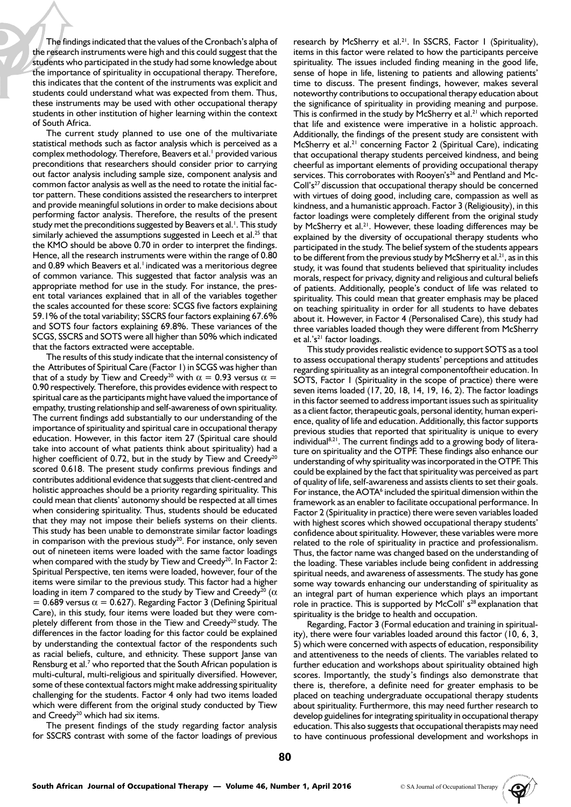The findings indicated that the values of the Cronbach's alpha of the research instruments were high and this could suggest that the students who participated in the study had some knowledge about the importance of spirituality in occupational therapy. Therefore, this indicates that the content of the instruments was explicit and students could understand what was expected from them. Thus, these instruments may be used with other occupational therapy students in other institution of higher learning within the context of South Africa.

The current study planned to use one of the multivariate statistical methods such as factor analysis which is perceived as a complex methodology. Therefore, Beavers et al.<sup>1</sup> provided various preconditions that researchers should consider prior to carrying out factor analysis including sample size, component analysis and common factor analysis as well as the need to rotate the initial factor pattern. These conditions assisted the researchers to interpret and provide meaningful solutions in order to make decisions about performing factor analysis. Therefore, the results of the present study met the preconditions suggested by Beavers et al.<sup>1</sup>. This study similarly achieved the assumptions suggested in Leech et al.<sup>25</sup> that the KMO should be above 0.70 in order to interpret the findings. Hence, all the research instruments were within the range of 0.80 and 0.89 which Beavers et al.<sup>1</sup> indicated was a meritorious degree of common variance. This suggested that factor analysis was an appropriate method for use in the study. For instance, the present total variances explained that in all of the variables together the scales accounted for these score: SCGS five factors explaining 59.1% of the total variability; SSCRS four factors explaining 67.6% and SOTS four factors explaining 69.8%. These variances of the SCGS, SSCRS and SOTS were all higher than 50% which indicated that the factors extracted were acceptable.

The results of this study indicate that the internal consistency of the Attributes of Spiritual Care (Factor 1) in SCGS was higher than that of a study by Tiew and Creedy<sup>20</sup> with  $\alpha = 0.93$  versus  $\alpha =$ 0.90 respectively. Therefore, this provides evidence with respect to spiritual care as the participants might have valued the importance of empathy, trusting relationship and self-awareness of own spirituality. The current findings add substantially to our understanding of the importance of spirituality and spiritual care in occupational therapy education. However, in this factor item 27 (Spiritual care should take into account of what patients think about spirituality) had a higher coefficient of 0.72, but in the study by Tiew and Creedy<sup>20</sup> scored 0.618. The present study confirms previous findings and contributes additional evidence that suggests that client-centred and holistic approaches should be a priority regarding spirituality. This could mean that clients' autonomy should be respected at all times when considering spirituality. Thus, students should be educated that they may not impose their beliefs systems on their clients. This study has been unable to demonstrate similar factor loadings in comparison with the previous study<sup>20</sup>. For instance, only seven out of nineteen items were loaded with the same factor loadings when compared with the study by Tiew and Creedy<sup>20</sup>. In Factor 2: Spiritual Perspective, ten items were loaded, however, four of the items were similar to the previous study. This factor had a higher loading in item 7 compared to the study by Tiew and Creedy<sup>20</sup> ( $\alpha$ = 0.689 versus  $\alpha$  = 0.627). Regarding Factor 3 (Defining Spiritual Care), in this study, four items were loaded but they were completely different from those in the Tiew and Creedy<sup>20</sup> study. The differences in the factor loading for this factor could be explained by understanding the contextual factor of the respondents such as racial beliefs, culture, and ethnicity. These support Janse van Rensburg et al.<sup>7</sup> who reported that the South African population is multi-cultural, multi-religious and spiritually diversified. However, some of these contextual factors might make addressing spirituality challenging for the students. Factor 4 only had two items loaded which were different from the original study conducted by Tiew and Creedy<sup>20</sup> which had six items.

The present findings of the study regarding factor analysis for SSCRS contrast with some of the factor loadings of previous research by McSherry et al.<sup>21</sup>. In SSCRS, Factor 1 (Spirituality), items in this factor were related to how the participants perceive spirituality. The issues included finding meaning in the good life, sense of hope in life, listening to patients and allowing patients' time to discuss. The present findings, however, makes several noteworthy contributions to occupational therapy education about the significance of spirituality in providing meaning and purpose. This is confirmed in the study by McSherry et al.<sup>21</sup> which reported that life and existence were imperative in a holistic approach. Additionally, the findings of the present study are consistent with McSherry et al.<sup>21</sup> concerning Factor 2 (Spiritual Care), indicating that occupational therapy students perceived kindness, and being cheerful as important elements of providing occupational therapy services. This corroborates with Rooyen's<sup>26</sup> and Pentland and Mc-Coll's<sup>27</sup> discussion that occupational therapy should be concerned with virtues of doing good, including care, compassion as well as kindness, and a humanistic approach. Factor 3 (Religiousity), in this factor loadings were completely different from the original study by McSherry et al.<sup>21</sup>. However, these loading differences may be explained by the diversity of occupational therapy students who participated in the study. The belief system of the students appears to be different from the previous study by McSherry et al. $^{21}$ , as in this study, it was found that students believed that spirituality includes morals, respect for privacy, dignity and religious and cultural beliefs of patients. Additionally, people's conduct of life was related to spirituality. This could mean that greater emphasis may be placed on teaching spirituality in order for all students to have debates about it. However, in Factor 4 (Personalised Care), this study had three variables loaded though they were different from McSherry et al.'s<sup>21</sup> factor loadings.

This study provides realistic evidence to support SOTS as a tool to assess occupational therapy students' perceptions and attitudes regarding spirituality as an integral componentoftheir education. In SOTS, Factor 1 (Spirituality in the scope of practice) there were seven items loaded (17, 20, 18, 14, 19, 16, 2). The factor loadings in this factor seemed to address important issues such as spirituality as a client factor, therapeutic goals, personal identity, human experience, quality of life and education. Additionally, this factor supports previous studies that reported that spirituality is unique to every individual<sup>8,21</sup>. The current findings add to a growing body of literature on spirituality and the OTPF. These findings also enhance our understanding of why spirituality was incorporated in the OTPF. This could be explained by the fact that spirituality was perceived as part of quality of life, self-awareness and assists clients to set their goals. For instance, the AOTA<sup>6</sup> included the spiritual dimension within the framework as an enabler to facilitate occupational performance. In Factor 2 (Spirituality in practice) there were seven variables loaded with highest scores which showed occupational therapy students' confidence about spirituality. However, these variables were more related to the role of spirituality in practice and professionalism. Thus, the factor name was changed based on the understanding of the loading. These variables include being confident in addressing spiritual needs, and awareness of assessments. The study has gone some way towards enhancing our understanding of spirituality as an integral part of human experience which plays an important role in practice. This is supported by McColl' s<sup>28</sup> explanation that spirituality is the bridge to health and occupation.

Regarding, Factor 3 (Formal education and training in spirituality), there were four variables loaded around this factor (10, 6, 3, 5) which were concerned with aspects of education, responsibility and attentiveness to the needs of clients. The variables related to further education and workshops about spirituality obtained high scores. Importantly, the study's findings also demonstrate that there is, therefore, a definite need for greater emphasis to be placed on teaching undergraduate occupational therapy students about spirituality. Furthermore, this may need further research to develop guidelines for integrating spirituality in occupational therapy education. This also suggests that occupational therapists may need to have continuous professional development and workshops in

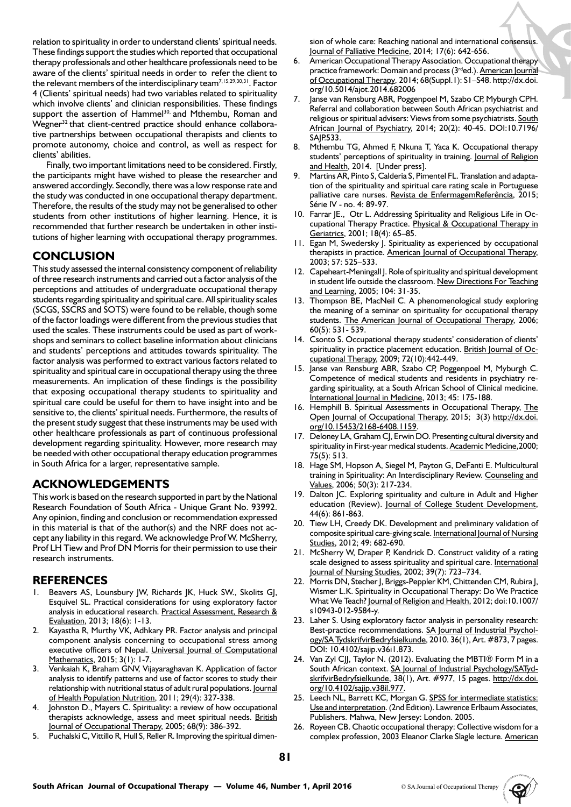relation to spirituality in order to understand clients' spiritual needs. These findings support the studies which reported that occupational therapy professionals and other healthcare professionals need to be aware of the clients' spiritual needs in order to refer the client to the relevant members of the interdisciplinary team<sup>7,15,29,30,31</sup>. Factor 4 (Clients' spiritual needs) had two variables related to spirituality which involve clients' and clinician responsibilities. These findings support the assertion of Hammel<sup>30,</sup> and Mthembu, Roman and Wegner<sup>32</sup> that client-centred practice should enhance collaborative partnerships between occupational therapists and clients to promote autonomy, choice and control, as well as respect for clients' abilities.

Finally, two important limitations need to be considered. Firstly, the participants might have wished to please the researcher and answered accordingly. Secondly, there was a low response rate and the study was conducted in one occupational therapy department. Therefore, the results of the study may not be generalised to other students from other institutions of higher learning. Hence, it is recommended that further research be undertaken in other institutions of higher learning with occupational therapy programmes.

# **CONCLUSION**

This study assessed the internal consistency component of reliability of three research instruments and carried out a factor analysis of the perceptions and attitudes of undergraduate occupational therapy students regarding spirituality and spiritual care. All spirituality scales (SCGS, SSCRS and SOTS) were found to be reliable, though some of the factor loadings were different from the previous studies that used the scales. These instruments could be used as part of workshops and seminars to collect baseline information about clinicians and students' perceptions and attitudes towards spirituality. The factor analysis was performed to extract various factors related to spirituality and spiritual care in occupational therapy using the three measurements. An implication of these findings is the possibility that exposing occupational therapy students to spirituality and spiritual care could be useful for them to have insight into and be sensitive to, the clients' spiritual needs. Furthermore, the results of the present study suggest that these instruments may be used with other healthcare professionals as part of continuous professional development regarding spirituality. However, more research may be needed with other occupational therapy education programmes in South Africa for a larger, representative sample.

# **ACKNOWLEDGEMENTS**

This work is based on the research supported in part by the National Research Foundation of South Africa - Unique Grant No. 93992. Any opinion, finding and conclusion or recommendation expressed in this material is that of the author(s) and the NRF does not accept any liability in this regard. We acknowledge Prof W. McSherry, Prof LH Tiew and Prof DN Morris for their permission to use their research instruments.

# **REFERENCES**

- 1. Beavers AS, Lounsbury JW, Richards JK, Huck SW., Skolits GJ, Esquivel SL. Practical considerations for using exploratory factor analysis in educational research. Practical Assessment, Research & Evaluation, 2013; 18(6): 1-13.
- 2. Kayastha R, Murthy VK, Adhkary PR. Factor analysis and principal component analysis concerning to occupational stress among executive officers of Nepal. Universal Journal of Computational Mathematics, 2015; 3(1): 1-7.
- 3. Venkaiah K, Braham GNV, Vijayaraghavan K. Application of factor analysis to identify patterns and use of factor scores to study their relationship with nutritional status of adult rural populations. Journal of Health Population Nutrition, 2011; 29(4): 327-338.
- 4. Johnston D., Mayers C. Spirituality: a review of how occupational therapists acknowledge, assess and meet spiritual needs. British Journal of Occupational Therapy, 2005; 68(9): 386-392.
- 5. Puchalski C, Vittillo R, Hull S, Reller R. Improving the spiritual dimen-

sion of whole care: Reaching national and international consensus. Journal of Palliative Medicine, 2014; 17(6): 642-656.

- American Occupational Therapy Association. Occupational therapy practice framework: Domain and process (3<sup>rd</sup>ed.). American Journal of Occupational Therapy*,* 2014; 68(Suppl.1): S1–S48. http://dx.doi. org/10.5014/ajot.2014.682006
- 7. Janse van Rensburg ABR, Poggenpoel M, Szabo CP, Myburgh CPH. Referral and collaboration between South African psychiatrist and religious or spiritual advisers: Views from some psychiatrists. South African Journal of Psychiatry, 2014; 20(2): 40-45. DOI:10.7196/ SAJP.533.
- 8. Mthembu TG, Ahmed F, Nkuna T, Yaca K. Occupational therapy students' perceptions of spirituality in training. Journal of Religion and Health, 2014. [Under press].
- 9. Martins AR, Pinto S, Calderia S, Pimentel FL. Translation and adaptation of the spirituality and spiritual care rating scale in Portuguese palliative care nurses. Revista de EnfermagemReferência, 2015; Série IV - no. 4: 89-97.
- 10. Farrar JE., Otr L. Addressing Spirituality and Religious Life in Occupational Therapy Practice. Physical & Occupational Therapy in Geriatrics, 2001; 18(4): 65–85.
- 11. Egan M, Swedersky J. Spirituality as experienced by occupational therapists in practice. American Journal of Occupational Therapy, 2003; 57: 525–533.
- 12. Capeheart-Meningall J. Role of spirituality and spiritual development in student life outside the classroom. New Directions For Teaching and Learning, 2005; 104: 31-35.
- 13. Thompson BE, MacNeil C. A phenomenological study exploring the meaning of a seminar on spirituality for occupational therapy students. The American Journal of Occupational Therapy, 2006; 60(5): 531- 539.
- 14. Csonto S. Occupational therapy students' consideration of clients' spirituality in practice placement education. British Journal of Occupational Therapy, 2009; 72(10):442-449.
- 15. Janse van Rensburg ABR, Szabo CP, Poggenpoel M, Myburgh C. Competence of medical students and residents in psychiatry regarding spirituality, at a South African School of Clinical medicine. International Journal in Medicine, 2013; 45: 175-188.
- 16. Hemphill B. Spiritual Assessments in Occupational Therapy, The Open Journal of Occupational Therapy, 2015; 3(3) http://dx.doi. org/10.15453/2168-6408.1159.
- 17. Deloney LA, Graham CJ, Erwin DO. Presenting cultural diversity and spirituality in First-year medical students. Academic Medicine, 2000; 75(5): 513.
- 18. Hage SM, Hopson A, Siegel M, Payton G, DeFanti E. Multicultural training in Spirituality: An Interdisciplinary Review. Counseling and Values, 2006; 50(3): 217-234.
- 19. Dalton JC. Exploring spirituality and culture in Adult and Higher education (Review). Journal of College Student Development, 44(6): 861-863.
- 20. Tiew LH, Creedy DK. Development and preliminary validation of composite spiritual care-giving scale. International Journal of Nursing Studies, 2012; 49: 682-690.
- 21. McSherry W, Draper P, Kendrick D. Construct validity of a rating scale designed to assess spirituality and spiritual care. International Journal of Nursing Studies, 2002; 39(7): 723–734.
- 22. Morris DN, Stecher J, Briggs-Peppler KM, Chittenden CM, Rubira J, Wismer L.K. Spirituality in Occupational Therapy: Do We Practice What We Teach? Journal of Religion and Health, 2012; doi:10.1007/ s10943-012-9584-y.
- 23. Laher S. Using exploratory factor analysis in personality research: Best-practice recommendations. SA Journal of Industrial Psychology/SA TydskrifvirBedryfsielkunde, 2010. 36(1), Art. #873, 7 pages. DOI: 10.4102/sajip.v36i1.873.
- 24. Van Zyl CJJ, Taylor N. (2012). Evaluating the MBTI® Form M in a South African context. SA Journal of Industrial Psychology/SATydskrifvirBedryfsielkunde, 38(1), Art. #977, 15 pages. http://dx.doi. org/10.4102/sajip.v38il.977.
- 25. Leech NL, Barrett KC, Morgan G. SPSS for intermediate statistics: Use and interpretation. (2nd Edition). Lawrence Erlbaum Associates, Publishers. Mahwa, New Jersey: London. 2005.
- 26. Royeen CB. Chaotic occupational therapy: Collective wisdom for a complex profession, 2003 Eleanor Clarke Slagle lecture. American